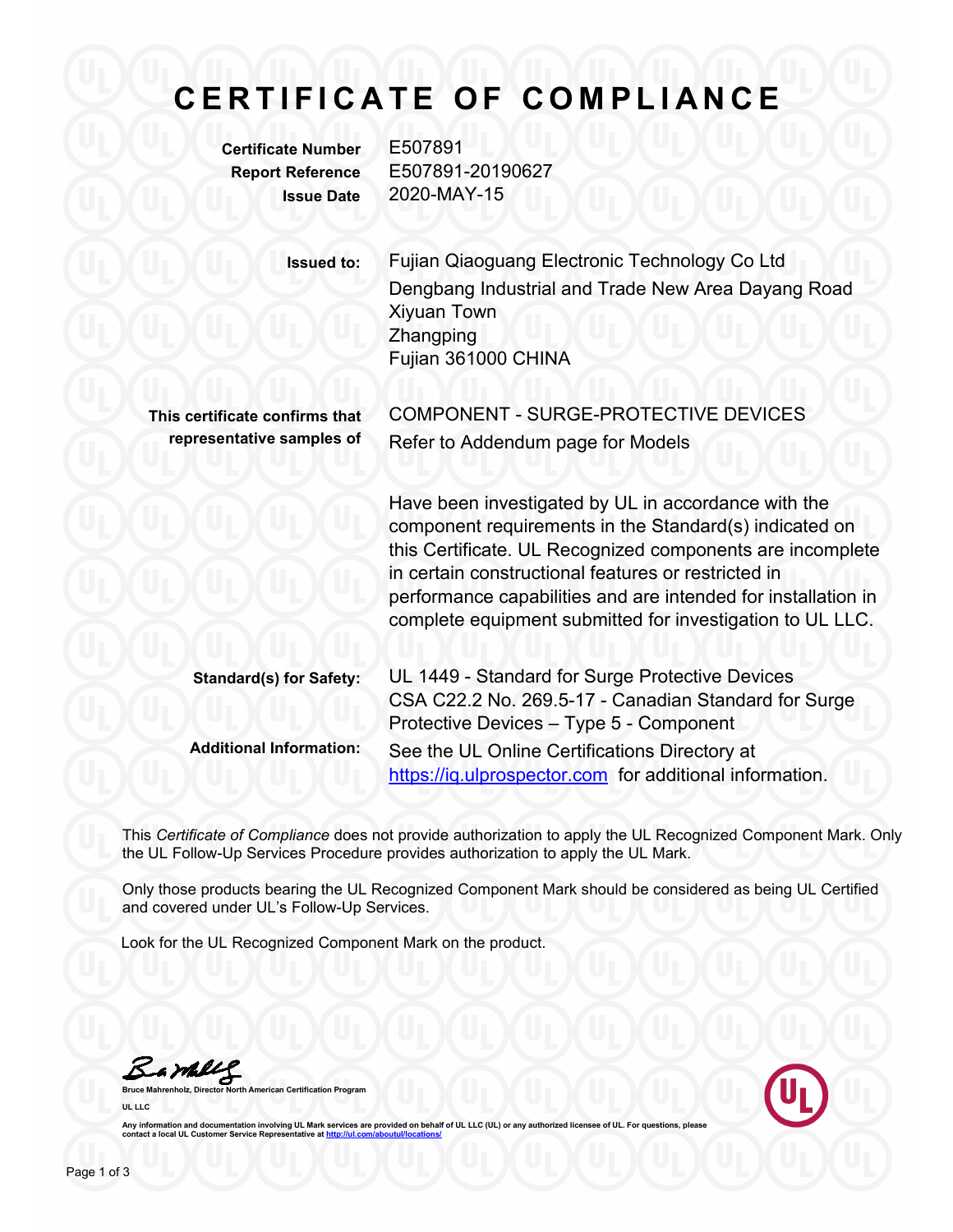## **C E R T I F I C A T E O F C O M P L I A N C E**

**Certificate Number** E507891

**Report Reference** E507891-20190627 **Issue Date** 2020-MAY-15

| <b>Issued to:</b>              | Fujian Qiaoguang Electronic Technology Co Ltd                                                                                                                                                                                                                                                                                                                   |
|--------------------------------|-----------------------------------------------------------------------------------------------------------------------------------------------------------------------------------------------------------------------------------------------------------------------------------------------------------------------------------------------------------------|
|                                | Dengbang Industrial and Trade New Area Dayang Road<br><b>Xiyuan Town</b><br>Zhangping<br>Fujian 361000 CHINA                                                                                                                                                                                                                                                    |
|                                |                                                                                                                                                                                                                                                                                                                                                                 |
| This certificate confirms that | COMPONENT - SURGE-PROTECTIVE DEVICES                                                                                                                                                                                                                                                                                                                            |
| representative samples of      | Refer to Addendum page for Models                                                                                                                                                                                                                                                                                                                               |
|                                | Have been investigated by UL in accordance with the<br>component requirements in the Standard(s) indicated on<br>this Certificate. UL Recognized components are incomplete<br>in certain constructional features or restricted in<br>performance capabilities and are intended for installation in<br>complete equipment submitted for investigation to UL LLC. |
| <b>Standard(s) for Safety:</b> | UL 1449 - Standard for Surge Protective Devices<br>CSA C22.2 No. 269.5-17 - Canadian Standard for Surge<br>Protective Devices - Type 5 - Component                                                                                                                                                                                                              |
| <b>Additional Information:</b> | See the UL Online Certifications Directory at<br>https://iq.ulprospector.com for additional information.                                                                                                                                                                                                                                                        |

This *Certificate of Compliance* does not provide authorization to apply the UL Recognized Component Mark. Only the UL Follow-Up Services Procedure provides authorization to apply the UL Mark.

Only those products bearing the UL Recognized Component Mark should be considered as being UL Certified and covered under UL's Follow-Up Services.

Look for the UL Recognized Component Mark on the product.

Bambleg

**Bruce Mahrenholz, Director North American Certification Program UL LLC**



Any information and documentation involving UL Mark services are provided on behalf of UL LLC (UL) or any authorized licensee of UL. For questions, please reading the Mark of Mark and the Mark and the Mark of Mark of Mark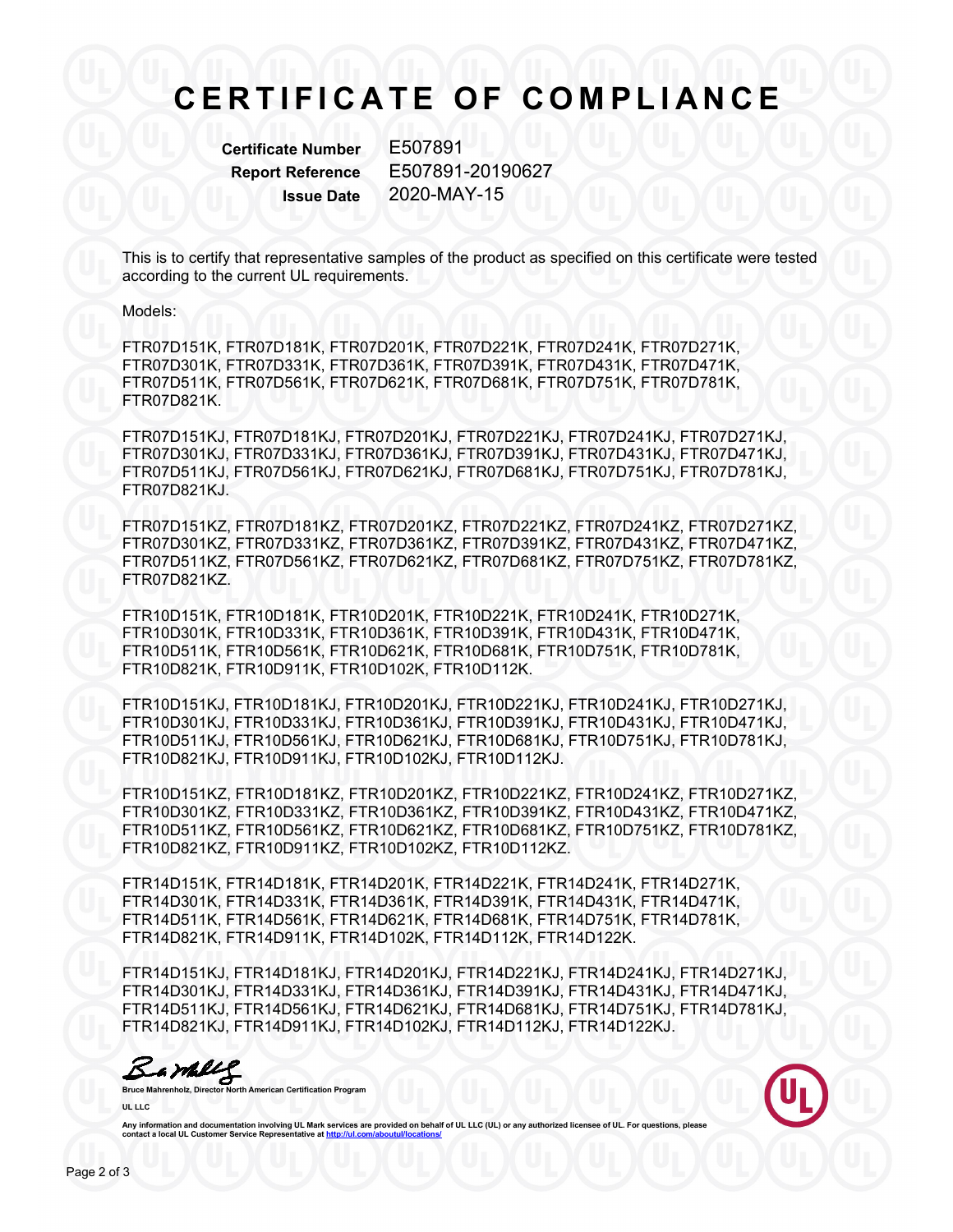## **C E R T I F I C A T E O F C O M P L I A N C E**

**Certificate Number** E507891

**Report Reference** E507891-20190627 **Issue Date** 2020-MAY-15

This is to certify that representative samples of the product as specified on this certificate were tested according to the current UL requirements.

Models:

FTR07D151K, FTR07D181K, FTR07D201K, FTR07D221K, FTR07D241K, FTR07D271K, FTR07D301K, FTR07D331K, FTR07D361K, FTR07D391K, FTR07D431K, FTR07D471K, FTR07D511K, FTR07D561K, FTR07D621K, FTR07D681K, FTR07D751K, FTR07D781K, FTR07D821K.

FTR07D151KJ, FTR07D181KJ, FTR07D201KJ, FTR07D221KJ, FTR07D241KJ, FTR07D271KJ, FTR07D301KJ, FTR07D331KJ, FTR07D361KJ, FTR07D391KJ, FTR07D431KJ, FTR07D471KJ, FTR07D511KJ, FTR07D561KJ, FTR07D621KJ, FTR07D681KJ, FTR07D751KJ, FTR07D781KJ, FTR07D821KJ.

FTR07D151KZ, FTR07D181KZ, FTR07D201KZ, FTR07D221KZ, FTR07D241KZ, FTR07D271KZ, FTR07D301KZ, FTR07D331KZ, FTR07D361KZ, FTR07D391KZ, FTR07D431KZ, FTR07D471KZ, FTR07D511KZ, FTR07D561KZ, FTR07D621KZ, FTR07D681KZ, FTR07D751KZ, FTR07D781KZ, FTR07D821KZ.

FTR10D151K, FTR10D181K, FTR10D201K, FTR10D221K, FTR10D241K, FTR10D271K, FTR10D301K, FTR10D331K, FTR10D361K, FTR10D391K, FTR10D431K, FTR10D471K, FTR10D511K, FTR10D561K, FTR10D621K, FTR10D681K, FTR10D751K, FTR10D781K, FTR10D821K, FTR10D911K, FTR10D102K, FTR10D112K.

FTR10D151KJ, FTR10D181KJ, FTR10D201KJ, FTR10D221KJ, FTR10D241KJ, FTR10D271KJ, FTR10D301KJ, FTR10D331KJ, FTR10D361KJ, FTR10D391KJ, FTR10D431KJ, FTR10D471KJ, FTR10D511KJ, FTR10D561KJ, FTR10D621KJ, FTR10D681KJ, FTR10D751KJ, FTR10D781KJ, FTR10D821KJ, FTR10D911KJ, FTR10D102KJ, FTR10D112KJ.

FTR10D151KZ, FTR10D181KZ, FTR10D201KZ, FTR10D221KZ, FTR10D241KZ, FTR10D271KZ, FTR10D301KZ, FTR10D331KZ, FTR10D361KZ, FTR10D391KZ, FTR10D431KZ, FTR10D471KZ, FTR10D511KZ, FTR10D561KZ, FTR10D621KZ, FTR10D681KZ, FTR10D751KZ, FTR10D781KZ, FTR10D821KZ, FTR10D911KZ, FTR10D102KZ, FTR10D112KZ.

FTR14D151K, FTR14D181K, FTR14D201K, FTR14D221K, FTR14D241K, FTR14D271K, FTR14D301K, FTR14D331K, FTR14D361K, FTR14D391K, FTR14D431K, FTR14D471K, FTR14D511K, FTR14D561K, FTR14D621K, FTR14D681K, FTR14D751K, FTR14D781K, FTR14D821K, FTR14D911K, FTR14D102K, FTR14D112K, FTR14D122K.

FTR14D151KJ, FTR14D181KJ, FTR14D201KJ, FTR14D221KJ, FTR14D241KJ, FTR14D271KJ, FTR14D301KJ, FTR14D331KJ, FTR14D361KJ, FTR14D391KJ, FTR14D431KJ, FTR14D471KJ, FTR14D511KJ, FTR14D561KJ, FTR14D621KJ, FTR14D681KJ, FTR14D751KJ, FTR14D781KJ, FTR14D821KJ, FTR14D911KJ, FTR14D102KJ, FTR14D112KJ, FTR14D122KJ.

**Bruce Mahrenholz, Director North American Certification Program**

**UL LLC**



Any information and documentation involving UL Mark services are provided on behalf of UL LLC (UL) or any autho **contact a local UL Customer Service Representative at http://www.franchilder.org/**